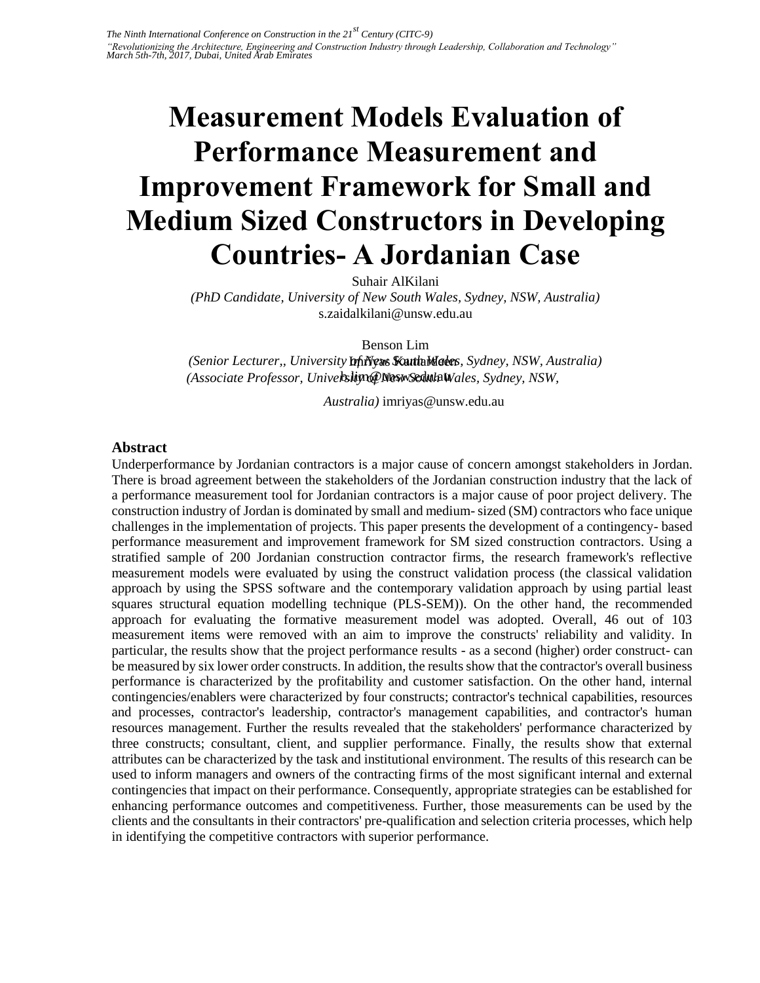# **Measurement Models Evaluation of Performance Measurement and Improvement Framework for Small and Medium Sized Constructors in Developing Countries- A Jordanian Case**

Suhair AlKilani

*(PhD Candidate, University of New South Wales, Sydney, NSW, Australia)*  s.zaidalkilani@unsw.edu.au

Benson Lim

(Senior Lecturer,, University **Infiyeus Kauth Maees**, Sydney, NSW, Australia) (Associate Professor, University of New Sedula Wales, Sydney, NSW,

*Australia)* imriyas@unsw.edu.au

## **Abstract**

Underperformance by Jordanian contractors is a major cause of concern amongst stakeholders in Jordan. There is broad agreement between the stakeholders of the Jordanian construction industry that the lack of a performance measurement tool for Jordanian contractors is a major cause of poor project delivery. The construction industry of Jordan is dominated by small and medium- sized (SM) contractors who face unique challenges in the implementation of projects. This paper presents the development of a contingency- based performance measurement and improvement framework for SM sized construction contractors. Using a stratified sample of 200 Jordanian construction contractor firms, the research framework's reflective measurement models were evaluated by using the construct validation process (the classical validation approach by using the SPSS software and the contemporary validation approach by using partial least squares structural equation modelling technique (PLS-SEM)). On the other hand, the recommended approach for evaluating the formative measurement model was adopted. Overall, 46 out of 103 measurement items were removed with an aim to improve the constructs' reliability and validity. In particular, the results show that the project performance results - as a second (higher) order construct- can be measured by six lower order constructs. In addition, the results show that the contractor's overall business performance is characterized by the profitability and customer satisfaction. On the other hand, internal contingencies/enablers were characterized by four constructs; contractor's technical capabilities, resources and processes, contractor's leadership, contractor's management capabilities, and contractor's human resources management. Further the results revealed that the stakeholders' performance characterized by three constructs; consultant, client, and supplier performance. Finally, the results show that external attributes can be characterized by the task and institutional environment. The results of this research can be used to inform managers and owners of the contracting firms of the most significant internal and external contingencies that impact on their performance. Consequently, appropriate strategies can be established for enhancing performance outcomes and competitiveness. Further, those measurements can be used by the clients and the consultants in their contractors' pre-qualification and selection criteria processes, which help in identifying the competitive contractors with superior performance.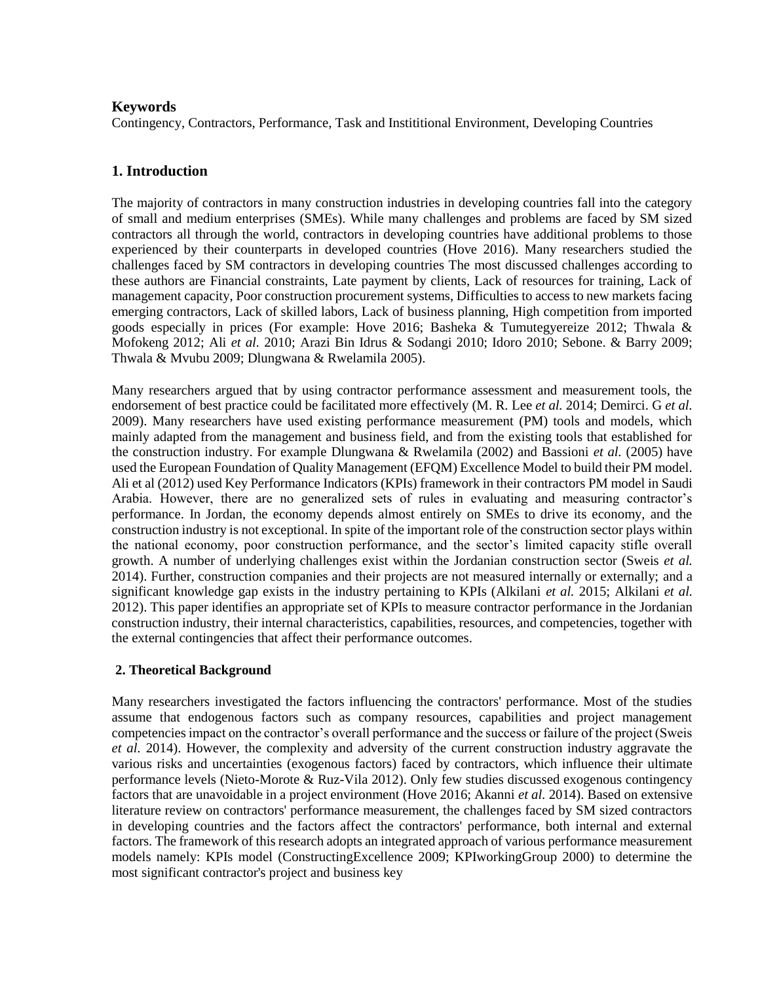## **Keywords**

Contingency, Contractors, Performance, Task and Instititional Environment, Developing Countries

# **1. Introduction**

The majority of contractors in many construction industries in developing countries fall into the category of small and medium enterprises (SMEs). While many challenges and problems are faced by SM sized contractors all through the world, contractors in developing countries have additional problems to those experienced by their counterparts in developed countries (Hove 2016). Many researchers studied the challenges faced by SM contractors in developing countries The most discussed challenges according to these authors are Financial constraints, Late payment by clients, Lack of resources for training, Lack of management capacity, Poor construction procurement systems, Difficulties to access to new markets facing emerging contractors, Lack of skilled labors, Lack of business planning, High competition from imported goods especially in prices (For example: Hove 2016; Basheka & Tumutegyereize 2012; Thwala & Mofokeng 2012; Ali *et al.* 2010; Arazi Bin Idrus & Sodangi 2010; Idoro 2010; Sebone. & Barry 2009; Thwala & Mvubu 2009; Dlungwana & Rwelamila 2005).

Many researchers argued that by using contractor performance assessment and measurement tools, the endorsement of best practice could be facilitated more effectively (M. R. Lee *et al.* 2014; Demirci. G *et al.*  2009). Many researchers have used existing performance measurement (PM) tools and models, which mainly adapted from the management and business field, and from the existing tools that established for the construction industry. For example Dlungwana & Rwelamila (2002) and Bassioni *et al.* (2005) have used the European Foundation of Quality Management (EFQM) Excellence Model to build their PM model. Ali et al (2012) used Key Performance Indicators (KPIs) framework in their contractors PM model in Saudi Arabia. However, there are no generalized sets of rules in evaluating and measuring contractor's performance. In Jordan, the economy depends almost entirely on SMEs to drive its economy, and the construction industry is not exceptional. In spite of the important role of the construction sector plays within the national economy, poor construction performance, and the sector's limited capacity stifle overall growth. A number of underlying challenges exist within the Jordanian construction sector (Sweis *et al.*  2014). Further, construction companies and their projects are not measured internally or externally; and a significant knowledge gap exists in the industry pertaining to KPIs (Alkilani *et al.* 2015; Alkilani *et al.*  2012). This paper identifies an appropriate set of KPIs to measure contractor performance in the Jordanian construction industry, their internal characteristics, capabilities, resources, and competencies, together with the external contingencies that affect their performance outcomes.

## **2. Theoretical Background**

Many researchers investigated the factors influencing the contractors' performance. Most of the studies assume that endogenous factors such as company resources, capabilities and project management competencies impact on the contractor's overall performance and the success or failure of the project (Sweis *et al.* 2014). However, the complexity and adversity of the current construction industry aggravate the various risks and uncertainties (exogenous factors) faced by contractors, which influence their ultimate performance levels (Nieto-Morote & Ruz-Vila 2012). Only few studies discussed exogenous contingency factors that are unavoidable in a project environment (Hove 2016; Akanni *et al.* 2014). Based on extensive literature review on contractors' performance measurement, the challenges faced by SM sized contractors in developing countries and the factors affect the contractors' performance, both internal and external factors. The framework of this research adopts an integrated approach of various performance measurement models namely: KPIs model (ConstructingExcellence 2009; KPIworkingGroup 2000) to determine the most significant contractor's project and business key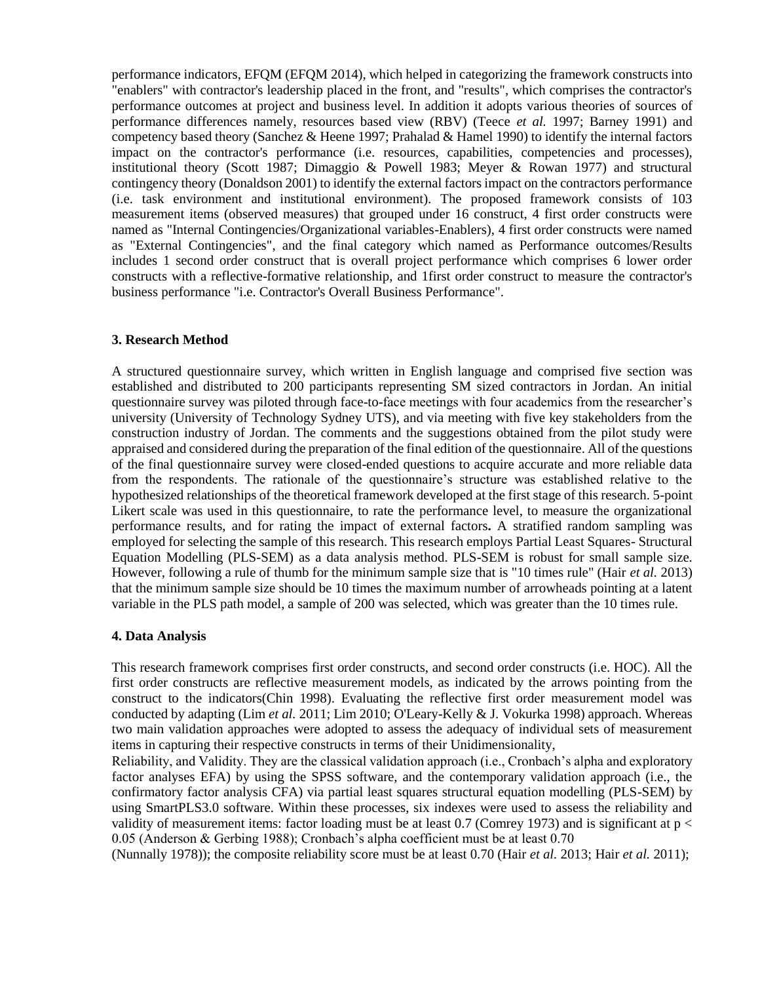performance indicators, EFQM (EFQM 2014), which helped in categorizing the framework constructs into "enablers" with contractor's leadership placed in the front, and "results", which comprises the contractor's performance outcomes at project and business level. In addition it adopts various theories of sources of performance differences namely, resources based view (RBV) (Teece *et al.* 1997; Barney 1991) and competency based theory (Sanchez & Heene 1997; Prahalad & Hamel 1990) to identify the internal factors impact on the contractor's performance (i.e. resources, capabilities, competencies and processes), institutional theory (Scott 1987; Dimaggio & Powell 1983; Meyer & Rowan 1977) and structural contingency theory (Donaldson 2001) to identify the external factors impact on the contractors performance (i.e. task environment and institutional environment). The proposed framework consists of 103 measurement items (observed measures) that grouped under 16 construct, 4 first order constructs were named as "Internal Contingencies/Organizational variables-Enablers), 4 first order constructs were named as "External Contingencies", and the final category which named as Performance outcomes/Results includes 1 second order construct that is overall project performance which comprises 6 lower order constructs with a reflective-formative relationship, and 1first order construct to measure the contractor's business performance "i.e. Contractor's Overall Business Performance".

## **3. Research Method**

A structured questionnaire survey, which written in English language and comprised five section was established and distributed to 200 participants representing SM sized contractors in Jordan. An initial questionnaire survey was piloted through face-to-face meetings with four academics from the researcher's university (University of Technology Sydney UTS), and via meeting with five key stakeholders from the construction industry of Jordan. The comments and the suggestions obtained from the pilot study were appraised and considered during the preparation of the final edition of the questionnaire. All of the questions of the final questionnaire survey were closed-ended questions to acquire accurate and more reliable data from the respondents. The rationale of the questionnaire's structure was established relative to the hypothesized relationships of the theoretical framework developed at the first stage of this research. 5-point Likert scale was used in this questionnaire, to rate the performance level, to measure the organizational performance results, and for rating the impact of external factors**.** A stratified random sampling was employed for selecting the sample of this research. This research employs Partial Least Squares- Structural Equation Modelling (PLS-SEM) as a data analysis method. PLS-SEM is robust for small sample size. However, following a rule of thumb for the minimum sample size that is "10 times rule" (Hair *et al.* 2013) that the minimum sample size should be 10 times the maximum number of arrowheads pointing at a latent variable in the PLS path model, a sample of 200 was selected, which was greater than the 10 times rule.

#### **4. Data Analysis**

This research framework comprises first order constructs, and second order constructs (i.e. HOC). All the first order constructs are reflective measurement models, as indicated by the arrows pointing from the construct to the indicators(Chin 1998). Evaluating the reflective first order measurement model was conducted by adapting (Lim *et al.* 2011; Lim 2010; O'Leary-Kelly & J. Vokurka 1998) approach. Whereas two main validation approaches were adopted to assess the adequacy of individual sets of measurement items in capturing their respective constructs in terms of their Unidimensionality,

Reliability, and Validity. They are the classical validation approach (i.e., Cronbach's alpha and exploratory factor analyses EFA) by using the SPSS software, and the contemporary validation approach (i.e., the confirmatory factor analysis CFA) via partial least squares structural equation modelling (PLS-SEM) by using SmartPLS3.0 software. Within these processes, six indexes were used to assess the reliability and validity of measurement items: factor loading must be at least  $0.7$  (Comrey 1973) and is significant at  $p <$ 0.05 (Anderson & Gerbing 1988); Cronbach's alpha coefficient must be at least 0.70

(Nunnally 1978)); the composite reliability score must be at least 0.70 (Hair *et al.* 2013; Hair *et al.* 2011);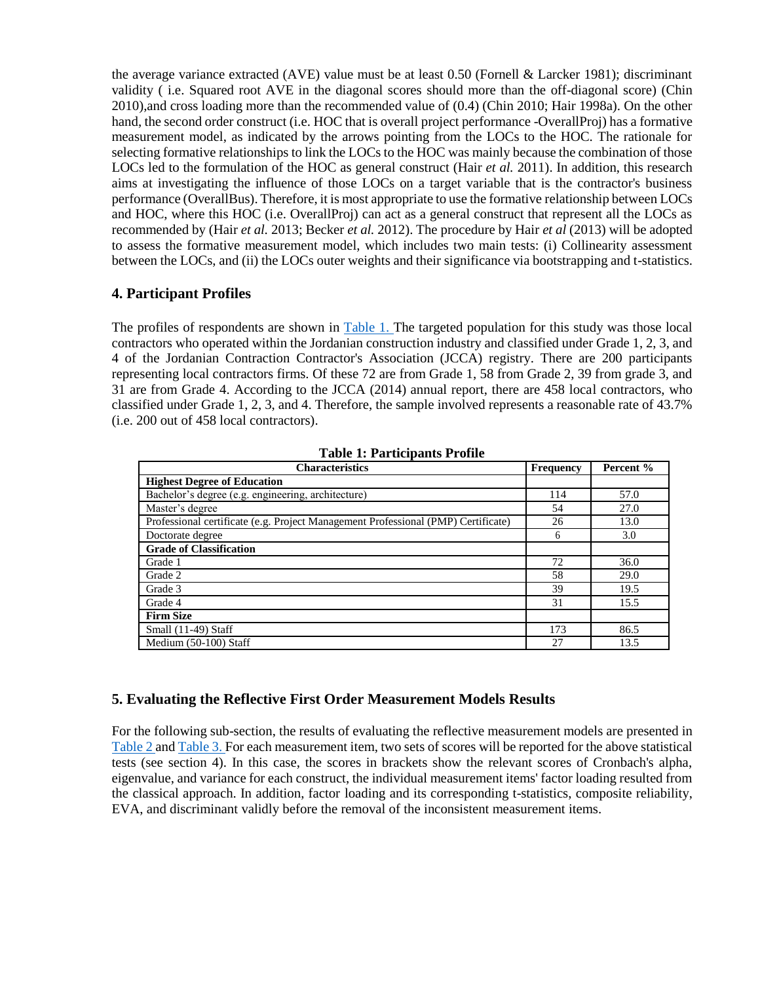the average variance extracted (AVE) value must be at least  $0.50$  (Fornell & Larcker 1981); discriminant validity ( i.e. Squared root AVE in the diagonal scores should more than the off-diagonal score) (Chin 2010),and cross loading more than the recommended value of (0.4) (Chin 2010; Hair 1998a). On the other hand, the second order construct (i.e. HOC that is overall project performance -OverallProj) has a formative measurement model, as indicated by the arrows pointing from the LOCs to the HOC. The rationale for selecting formative relationships to link the LOCs to the HOC was mainly because the combination of those LOCs led to the formulation of the HOC as general construct (Hair *et al.* 2011). In addition, this research aims at investigating the influence of those LOCs on a target variable that is the contractor's business performance (OverallBus). Therefore, it is most appropriate to use the formative relationship between LOCs and HOC, where this HOC (i.e. OverallProj) can act as a general construct that represent all the LOCs as recommended by (Hair *et al.* 2013; Becker *et al.* 2012). The procedure by Hair *et al* (2013) will be adopted to assess the formative measurement model, which includes two main tests: (i) Collinearity assessment between the LOCs, and (ii) the LOCs outer weights and their significance via bootstrapping and t-statistics.

## **4. Participant Profiles**

The profiles of respondents are shown in [Table 1. T](file:///F:/124.doc%23page4)he targeted population for this study was those local contractors who operated within the Jordanian construction industry and classified under Grade 1, 2, 3, and 4 of the Jordanian Contraction Contractor's Association (JCCA) registry. There are 200 participants representing local contractors firms. Of these 72 are from Grade 1, 58 from Grade 2, 39 from grade 3, and 31 are from Grade 4. According to the JCCA (2014) annual report, there are 458 local contractors, who classified under Grade 1, 2, 3, and 4. Therefore, the sample involved represents a reasonable rate of 43.7% (i.e. 200 out of 458 local contractors).

| <b>Characteristics</b>                                                            | <b>Frequency</b> | Percent % |
|-----------------------------------------------------------------------------------|------------------|-----------|
| <b>Highest Degree of Education</b>                                                |                  |           |
| Bachelor's degree (e.g. engineering, architecture)                                | 114              | 57.0      |
| Master's degree                                                                   | 54               | 27.0      |
| Professional certificate (e.g. Project Management Professional (PMP) Certificate) | 26               | 13.0      |
| Doctorate degree                                                                  | 6                | 3.0       |
| <b>Grade of Classification</b>                                                    |                  |           |
| Grade 1                                                                           | 72               | 36.0      |
| Grade 2                                                                           | 58               | 29.0      |
| Grade 3                                                                           | 39               | 19.5      |
| Grade 4                                                                           | 31               | 15.5      |
| <b>Firm Size</b>                                                                  |                  |           |
| Small $(11-49)$ Staff                                                             | 173              | 86.5      |
| Medium (50-100) Staff                                                             | 27               | 13.5      |

**Table 1: Participants Profile**

# **5. Evaluating the Reflective First Order Measurement Models Results**

For the following sub-section, the results of evaluating the reflective measurement models are presented in [Table 2 a](file:///F:/124.doc%23page5)n[d Table 3. F](file:///F:/124.doc%23page9)or each measurement item, two sets of scores will be reported for the above statistical tests (see section 4). In this case, the scores in brackets show the relevant scores of Cronbach's alpha, eigenvalue, and variance for each construct, the individual measurement items' factor loading resulted from the classical approach. In addition, factor loading and its corresponding t-statistics, composite reliability, EVA, and discriminant validly before the removal of the inconsistent measurement items.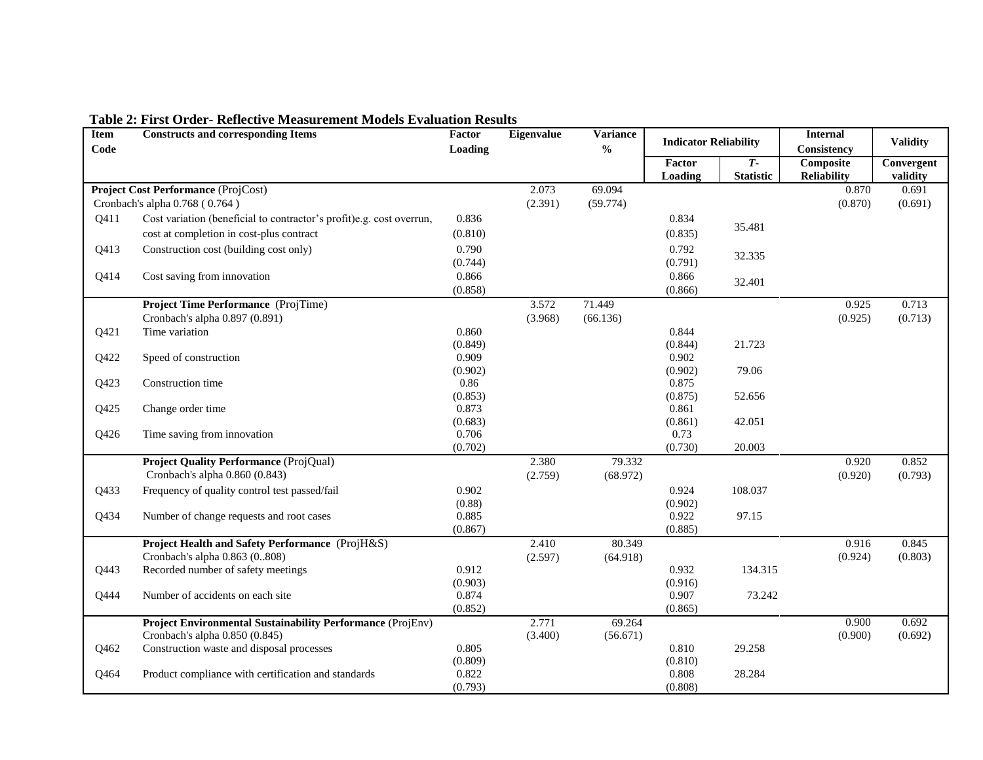| Item<br>Code | <b>Constructs and corresponding Items</b>                            |                  | Eigenvalue | <b>Variance</b><br>$\frac{1}{2}$ | <b>Indicator Reliability</b> |                           | <b>Internal</b><br>Consistency  | <b>Validity</b>        |
|--------------|----------------------------------------------------------------------|------------------|------------|----------------------------------|------------------------------|---------------------------|---------------------------------|------------------------|
|              |                                                                      | Loading          |            |                                  | Factor<br>Loading            | $T -$<br><b>Statistic</b> | Composite<br><b>Reliability</b> | Convergent<br>validity |
|              | Project Cost Performance (ProjCost)                                  |                  | 2.073      | 69.094                           |                              |                           | 0.870                           | 0.691                  |
|              | Cronbach's alpha 0.768 (0.764)                                       |                  | (2.391)    | (59.774)                         |                              |                           | (0.870)                         | (0.691)                |
| Q411         | Cost variation (beneficial to contractor's profit)e.g. cost overrun, | 0.836            |            |                                  | 0.834                        |                           |                                 |                        |
|              | cost at completion in cost-plus contract                             | (0.810)          |            |                                  | (0.835)                      | 35.481                    |                                 |                        |
| Q413         | Construction cost (building cost only)                               | 0.790            |            |                                  | 0.792                        |                           |                                 |                        |
|              |                                                                      | (0.744)          |            |                                  | (0.791)                      | 32.335                    |                                 |                        |
| Q414         | Cost saving from innovation                                          | 0.866            |            |                                  | 0.866                        | 32.401                    |                                 |                        |
|              |                                                                      | (0.858)          |            |                                  | (0.866)                      |                           |                                 |                        |
|              | Project Time Performance (ProjTime)                                  |                  | 3.572      | 71.449                           |                              |                           | 0.925                           | 0.713                  |
|              | Cronbach's alpha 0.897 (0.891)                                       |                  | (3.968)    | (66.136)                         |                              |                           | (0.925)                         | (0.713)                |
| Q421         | Time variation                                                       | 0.860            |            |                                  | 0.844                        |                           |                                 |                        |
|              |                                                                      | (0.849)          |            |                                  | (0.844)<br>0.902             | 21.723                    |                                 |                        |
| Q422         | Speed of construction                                                | 0.909<br>(0.902) |            |                                  | (0.902)                      | 79.06                     |                                 |                        |
| Q423         | Construction time                                                    | 0.86             |            |                                  | 0.875                        |                           |                                 |                        |
|              |                                                                      | (0.853)          |            |                                  | (0.875)                      | 52.656                    |                                 |                        |
| Q425         | Change order time                                                    | 0.873            |            |                                  | 0.861                        |                           |                                 |                        |
|              |                                                                      | (0.683)          |            |                                  | (0.861)                      | 42.051                    |                                 |                        |
| Q426         | Time saving from innovation                                          | 0.706            |            |                                  | 0.73                         |                           |                                 |                        |
|              |                                                                      | (0.702)          |            |                                  | (0.730)                      | 20.003                    |                                 |                        |
|              | Project Quality Performance (ProjQual)                               |                  | 2.380      | 79.332                           |                              |                           | 0.920                           | 0.852                  |
|              | Cronbach's alpha 0.860 (0.843)                                       |                  | (2.759)    | (68.972)                         |                              |                           | (0.920)                         | (0.793)                |
| Q433         | Frequency of quality control test passed/fail                        | 0.902            |            |                                  | 0.924                        | 108.037                   |                                 |                        |
|              |                                                                      | (0.88)           |            |                                  | (0.902)                      |                           |                                 |                        |
| Q434         | Number of change requests and root cases                             | 0.885            |            |                                  | 0.922<br>(0.885)             | 97.15                     |                                 |                        |
|              | Project Health and Safety Performance (ProjH&S)                      | (0.867)          | 2.410      | 80.349                           |                              |                           | 0.916                           | 0.845                  |
|              | Cronbach's alpha 0.863 (0808)                                        |                  | (2.597)    | (64.918)                         |                              |                           | (0.924)                         | (0.803)                |
| Q443         | Recorded number of safety meetings                                   | 0.912            |            |                                  | 0.932                        | 134.315                   |                                 |                        |
|              |                                                                      | (0.903)          |            |                                  | (0.916)                      |                           |                                 |                        |
| Q444         | Number of accidents on each site                                     | 0.874            |            |                                  | 0.907                        | 73.242                    |                                 |                        |
|              |                                                                      | (0.852)          |            |                                  | (0.865)                      |                           |                                 |                        |
|              | Project Environmental Sustainability Performance (ProjEnv)           |                  | 2.771      | 69.264                           |                              |                           | 0.900                           | 0.692                  |
|              | Cronbach's alpha 0.850 (0.845)                                       |                  | (3.400)    | (56.671)                         |                              |                           | (0.900)                         | (0.692)                |
| Q462         | Construction waste and disposal processes                            | 0.805            |            |                                  | 0.810                        | 29.258                    |                                 |                        |
| Q464         | Product compliance with certification and standards                  | (0.809)<br>0.822 |            |                                  | (0.810)<br>0.808             | 28.284                    |                                 |                        |
|              |                                                                      | (0.793)          |            |                                  | (0.808)                      |                           |                                 |                        |

# **Table 2: First Order- Reflective Measurement Models Evaluation Results**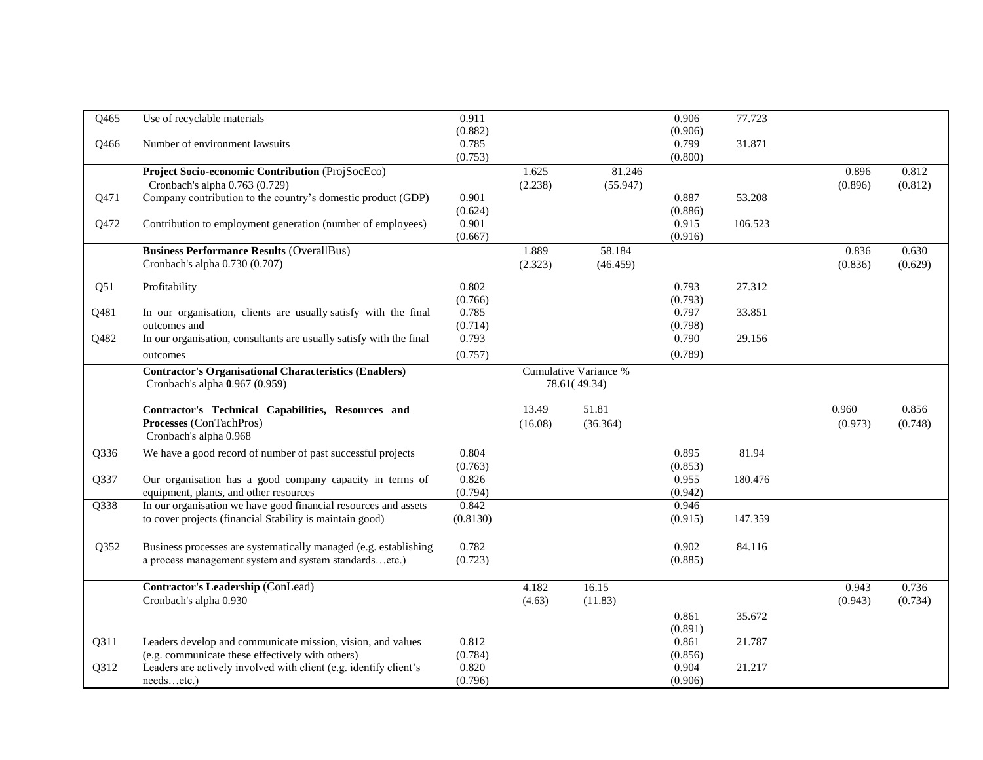| Q465 | Use of recyclable materials                                         | 0.911    |         |                       | 0.906            | 77.723  |         |         |
|------|---------------------------------------------------------------------|----------|---------|-----------------------|------------------|---------|---------|---------|
|      |                                                                     | (0.882)  |         |                       | (0.906)          |         |         |         |
| Q466 | Number of environment lawsuits                                      | 0.785    |         |                       | 0.799            | 31.871  |         |         |
|      |                                                                     | (0.753)  |         |                       | (0.800)          |         |         |         |
|      | Project Socio-economic Contribution (ProjSocEco)                    |          | 1.625   | 81.246                |                  |         | 0.896   | 0.812   |
|      | Cronbach's alpha 0.763 (0.729)                                      |          | (2.238) | (55.947)              |                  |         | (0.896) | (0.812) |
| Q471 | Company contribution to the country's domestic product (GDP)        | 0.901    |         |                       | 0.887            | 53.208  |         |         |
|      |                                                                     | (0.624)  |         |                       | (0.886)          |         |         |         |
| Q472 | Contribution to employment generation (number of employees)         | 0.901    |         |                       | 0.915            | 106.523 |         |         |
|      |                                                                     | (0.667)  |         |                       | (0.916)          |         |         |         |
|      | <b>Business Performance Results (OverallBus)</b>                    |          | 1.889   | 58.184                |                  |         | 0.836   | 0.630   |
|      | Cronbach's alpha 0.730 (0.707)                                      |          | (2.323) | (46.459)              |                  |         | (0.836) | (0.629) |
| Q51  | Profitability                                                       | 0.802    |         |                       | 0.793            | 27.312  |         |         |
|      |                                                                     | (0.766)  |         |                       | (0.793)          |         |         |         |
| Q481 | In our organisation, clients are usually satisfy with the final     | 0.785    |         |                       | 0.797            | 33.851  |         |         |
|      | outcomes and                                                        | (0.714)  |         |                       | (0.798)          |         |         |         |
| Q482 | In our organisation, consultants are usually satisfy with the final | 0.793    |         |                       | 0.790            | 29.156  |         |         |
|      | outcomes                                                            | (0.757)  |         |                       | (0.789)          |         |         |         |
|      | <b>Contractor's Organisational Characteristics (Enablers)</b>       |          |         | Cumulative Variance % |                  |         |         |         |
|      | Cronbach's alpha 0.967 (0.959)                                      |          |         | 78.61(49.34)          |                  |         |         |         |
|      |                                                                     |          |         |                       |                  |         |         |         |
|      | Contractor's Technical Capabilities, Resources and                  |          | 13.49   | 51.81                 |                  |         | 0.960   | 0.856   |
|      | Processes (ConTachPros)                                             |          | (16.08) | (36.364)              |                  |         | (0.973) | (0.748) |
|      | Cronbach's alpha 0.968                                              |          |         |                       |                  |         |         |         |
| Q336 |                                                                     |          |         |                       |                  |         |         |         |
|      |                                                                     |          |         |                       |                  |         |         |         |
|      | We have a good record of number of past successful projects         | 0.804    |         |                       | 0.895            | 81.94   |         |         |
|      |                                                                     | (0.763)  |         |                       | (0.853)          |         |         |         |
| Q337 | Our organisation has a good company capacity in terms of            | 0.826    |         |                       | 0.955            | 180.476 |         |         |
|      | equipment, plants, and other resources                              | (0.794)  |         |                       | (0.942)<br>0.946 |         |         |         |
| Q338 | In our organisation we have good financial resources and assets     | 0.842    |         |                       |                  | 147.359 |         |         |
|      | to cover projects (financial Stability is maintain good)            | (0.8130) |         |                       | (0.915)          |         |         |         |
|      |                                                                     |          |         |                       |                  |         |         |         |
| Q352 | Business processes are systematically managed (e.g. establishing    | 0.782    |         |                       | 0.902            | 84.116  |         |         |
|      | a process management system and system standardsetc.)               | (0.723)  |         |                       | (0.885)          |         |         |         |
|      | Contractor's Leadership (ConLead)                                   |          | 4.182   | 16.15                 |                  |         | 0.943   | 0.736   |
|      | Cronbach's alpha 0.930                                              |          | (4.63)  | (11.83)               |                  |         | (0.943) | (0.734) |
|      |                                                                     |          |         |                       | 0.861            | 35.672  |         |         |
|      |                                                                     |          |         |                       | (0.891)          |         |         |         |
| Q311 | Leaders develop and communicate mission, vision, and values         | 0.812    |         |                       | 0.861            | 21.787  |         |         |
|      | (e.g. communicate these effectively with others)                    | (0.784)  |         |                       | (0.856)          |         |         |         |
| Q312 | Leaders are actively involved with client (e.g. identify client's   | 0.820    |         |                       | 0.904            | 21.217  |         |         |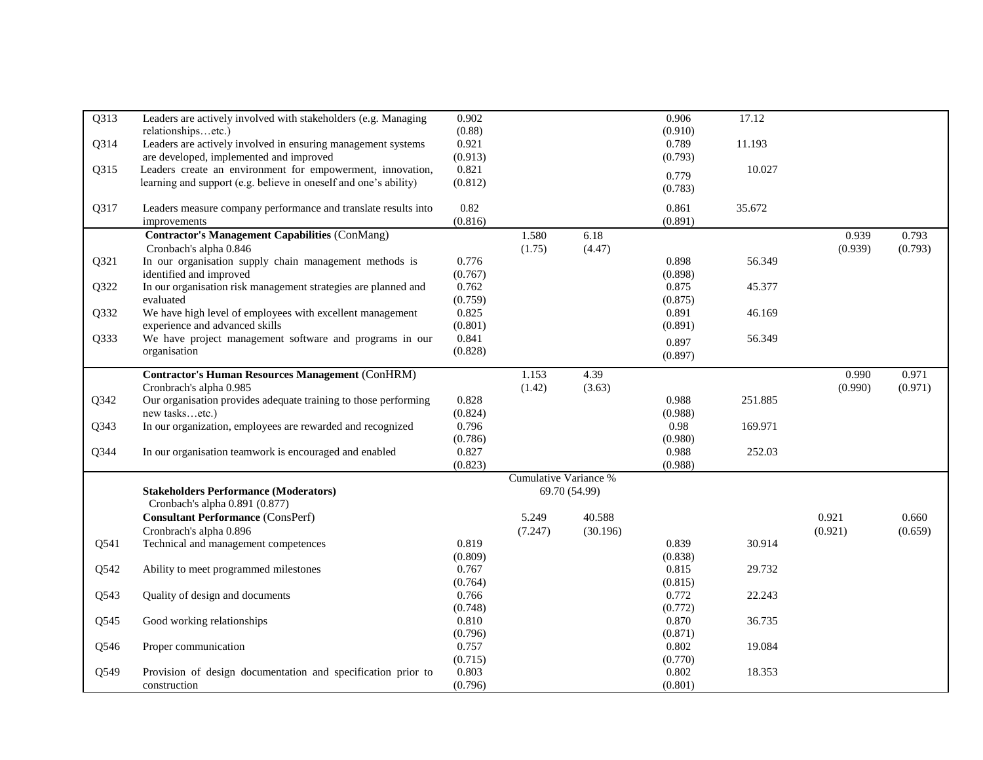| Q313 | Leaders are actively involved with stakeholders (e.g. Managing   | 0.902   |                              |               | 0.906   | 17.12   |         |         |
|------|------------------------------------------------------------------|---------|------------------------------|---------------|---------|---------|---------|---------|
|      | relationshipsetc.)                                               | (0.88)  |                              |               | (0.910) |         |         |         |
| Q314 | Leaders are actively involved in ensuring management systems     | 0.921   |                              |               | 0.789   | 11.193  |         |         |
|      | are developed, implemented and improved                          | (0.913) |                              |               | (0.793) |         |         |         |
| Q315 | Leaders create an environment for empowerment, innovation,       | 0.821   |                              |               |         | 10.027  |         |         |
|      | learning and support (e.g. believe in oneself and one's ability) | (0.812) |                              |               | 0.779   |         |         |         |
|      |                                                                  |         |                              |               | (0.783) |         |         |         |
| Q317 | Leaders measure company performance and translate results into   | 0.82    |                              |               | 0.861   | 35.672  |         |         |
|      | improvements                                                     | (0.816) |                              |               | (0.891) |         |         |         |
|      | <b>Contractor's Management Capabilities (ConMang)</b>            |         | 1.580                        | 6.18          |         |         | 0.939   | 0.793   |
|      | Cronbach's alpha 0.846                                           |         | (1.75)                       | (4.47)        |         |         | (0.939) | (0.793) |
| Q321 | In our organisation supply chain management methods is           | 0.776   |                              |               | 0.898   | 56.349  |         |         |
|      | identified and improved                                          | (0.767) |                              |               | (0.898) |         |         |         |
| Q322 | In our organisation risk management strategies are planned and   | 0.762   |                              |               | 0.875   | 45.377  |         |         |
|      | evaluated                                                        | (0.759) |                              |               | (0.875) |         |         |         |
| Q332 | We have high level of employees with excellent management        | 0.825   |                              |               | 0.891   | 46.169  |         |         |
|      | experience and advanced skills                                   | (0.801) |                              |               | (0.891) |         |         |         |
| Q333 | We have project management software and programs in our          | 0.841   |                              |               | 0.897   | 56.349  |         |         |
|      | organisation                                                     | (0.828) |                              |               | (0.897) |         |         |         |
|      |                                                                  |         |                              |               |         |         |         |         |
|      | <b>Contractor's Human Resources Management (ConHRM)</b>          |         | 1.153                        | 4.39          |         |         | 0.990   | 0.971   |
|      | Cronbrach's alpha 0.985                                          |         | (1.42)                       | (3.63)        |         |         | (0.990) | (0.971) |
| Q342 | Our organisation provides adequate training to those performing  | 0.828   |                              |               | 0.988   | 251.885 |         |         |
|      | new tasksetc.)                                                   | (0.824) |                              |               | (0.988) |         |         |         |
| Q343 | In our organization, employees are rewarded and recognized       | 0.796   |                              |               | 0.98    | 169.971 |         |         |
|      |                                                                  | (0.786) |                              |               | (0.980) |         |         |         |
| Q344 | In our organisation teamwork is encouraged and enabled           | 0.827   |                              |               | 0.988   | 252.03  |         |         |
|      |                                                                  | (0.823) |                              |               | (0.988) |         |         |         |
|      |                                                                  |         | <b>Cumulative Variance %</b> |               |         |         |         |         |
|      | <b>Stakeholders Performance (Moderators)</b>                     |         |                              | 69.70 (54.99) |         |         |         |         |
|      | Cronbach's alpha 0.891 (0.877)                                   |         |                              |               |         |         |         |         |
|      | <b>Consultant Performance (ConsPerf)</b>                         |         | 5.249                        | 40.588        |         |         | 0.921   | 0.660   |
|      | Cronbrach's alpha 0.896                                          |         | (7.247)                      | (30.196)      |         |         | (0.921) | (0.659) |
| Q541 | Technical and management competences                             | 0.819   |                              |               | 0.839   | 30.914  |         |         |
|      |                                                                  | (0.809) |                              |               | (0.838) |         |         |         |
| Q542 | Ability to meet programmed milestones                            | 0.767   |                              |               | 0.815   | 29.732  |         |         |
|      |                                                                  | (0.764) |                              |               | (0.815) |         |         |         |
| Q543 | Quality of design and documents                                  | 0.766   |                              |               | 0.772   | 22.243  |         |         |
|      |                                                                  | (0.748) |                              |               | (0.772) |         |         |         |
| Q545 | Good working relationships                                       | 0.810   |                              |               | 0.870   | 36.735  |         |         |
|      |                                                                  | (0.796) |                              |               | (0.871) |         |         |         |
| Q546 | Proper communication                                             | 0.757   |                              |               | 0.802   | 19.084  |         |         |
|      |                                                                  | (0.715) |                              |               | (0.770) |         |         |         |
| Q549 | Provision of design documentation and specification prior to     | 0.803   |                              |               | 0.802   | 18.353  |         |         |
|      | construction                                                     | (0.796) |                              |               | (0.801) |         |         |         |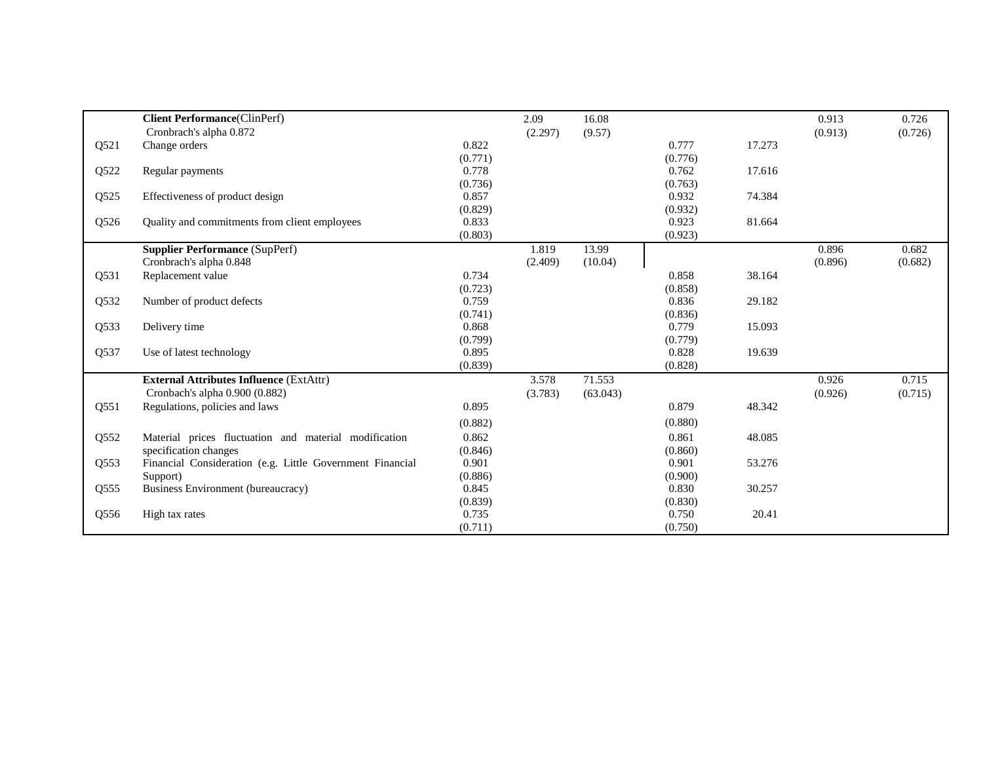|      | <b>Client Performance</b> (ClinPerf)                      |         | 2.09    | 16.08    |         |        | 0.913   | 0.726   |
|------|-----------------------------------------------------------|---------|---------|----------|---------|--------|---------|---------|
|      | Cronbrach's alpha 0.872                                   |         | (2.297) | (9.57)   |         |        | (0.913) | (0.726) |
| Q521 | Change orders                                             | 0.822   |         |          | 0.777   | 17.273 |         |         |
|      |                                                           | (0.771) |         |          | (0.776) |        |         |         |
| Q522 | Regular payments                                          | 0.778   |         |          | 0.762   | 17.616 |         |         |
|      |                                                           | (0.736) |         |          | (0.763) |        |         |         |
| Q525 | Effectiveness of product design                           | 0.857   |         |          | 0.932   | 74.384 |         |         |
|      |                                                           | (0.829) |         |          | (0.932) |        |         |         |
| Q526 | Quality and commitments from client employees             | 0.833   |         |          | 0.923   | 81.664 |         |         |
|      |                                                           | (0.803) |         |          | (0.923) |        |         |         |
|      | <b>Supplier Performance (SupPerf)</b>                     |         | 1.819   | 13.99    |         |        | 0.896   | 0.682   |
|      | Cronbrach's alpha 0.848                                   |         | (2.409) | (10.04)  |         |        | (0.896) | (0.682) |
| Q531 | Replacement value                                         | 0.734   |         |          | 0.858   | 38.164 |         |         |
|      |                                                           | (0.723) |         |          | (0.858) |        |         |         |
| Q532 | Number of product defects                                 | 0.759   |         |          | 0.836   | 29.182 |         |         |
|      |                                                           | (0.741) |         |          | (0.836) |        |         |         |
| Q533 | Delivery time                                             | 0.868   |         |          | 0.779   | 15.093 |         |         |
|      |                                                           | (0.799) |         |          | (0.779) |        |         |         |
| Q537 | Use of latest technology                                  | 0.895   |         |          | 0.828   | 19.639 |         |         |
|      |                                                           | (0.839) |         |          | (0.828) |        |         |         |
|      | <b>External Attributes Influence (ExtAttr)</b>            |         | 3.578   | 71.553   |         |        | 0.926   | 0.715   |
|      | Cronbach's alpha 0.900 (0.882)                            |         | (3.783) | (63.043) |         |        | (0.926) | (0.715) |
| Q551 | Regulations, policies and laws                            | 0.895   |         |          | 0.879   | 48.342 |         |         |
|      |                                                           | (0.882) |         |          | (0.880) |        |         |         |
| Q552 | Material prices fluctuation and material modification     | 0.862   |         |          | 0.861   | 48.085 |         |         |
|      | specification changes                                     | (0.846) |         |          | (0.860) |        |         |         |
| Q553 | Financial Consideration (e.g. Little Government Financial | 0.901   |         |          | 0.901   | 53.276 |         |         |
|      | Support)                                                  | (0.886) |         |          | (0.900) |        |         |         |
| Q555 | Business Environment (bureaucracy)                        | 0.845   |         |          | 0.830   | 30.257 |         |         |
|      |                                                           | (0.839) |         |          | (0.830) |        |         |         |
| Q556 | High tax rates                                            | 0.735   |         |          | 0.750   | 20.41  |         |         |
|      |                                                           | (0.711) |         |          | (0.750) |        |         |         |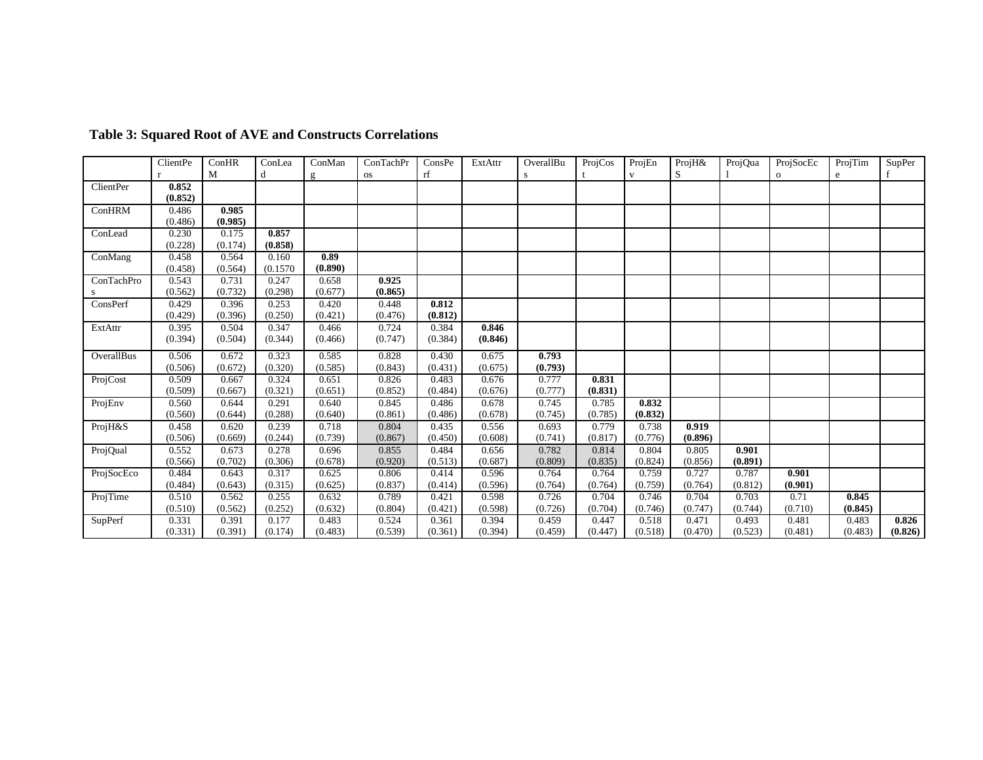|            | ClientPe | ConHR   | ConLea   | ConMan  | ConTachPr | ConsPe  | ExtAttr | OverallBu | ProjCos | ProjEn  | ProjH&  | ProjQua | ProjSocEc    | ProjTim | SupPer  |
|------------|----------|---------|----------|---------|-----------|---------|---------|-----------|---------|---------|---------|---------|--------------|---------|---------|
|            |          | M       |          | g       | <b>OS</b> | rf      |         |           |         |         | S       |         | $\mathbf{o}$ | e       |         |
| ClientPer  | 0.852    |         |          |         |           |         |         |           |         |         |         |         |              |         |         |
|            | (0.852)  |         |          |         |           |         |         |           |         |         |         |         |              |         |         |
| ConHRM     | 0.486    | 0.985   |          |         |           |         |         |           |         |         |         |         |              |         |         |
|            | (0.486)  | (0.985) |          |         |           |         |         |           |         |         |         |         |              |         |         |
| ConLead    | 0.230    | 0.175   | 0.857    |         |           |         |         |           |         |         |         |         |              |         |         |
|            | (0.228)  | (0.174) | (0.858)  |         |           |         |         |           |         |         |         |         |              |         |         |
| ConMang    | 0.458    | 0.564   | 0.160    | 0.89    |           |         |         |           |         |         |         |         |              |         |         |
|            | (0.458)  | (0.564) | (0.1570) | (0.890) |           |         |         |           |         |         |         |         |              |         |         |
| ConTachPro | 0.543    | 0.731   | 0.247    | 0.658   | 0.925     |         |         |           |         |         |         |         |              |         |         |
| <b>S</b>   | (0.562)  | (0.732) | (0.298)  | (0.677) | (0.865)   |         |         |           |         |         |         |         |              |         |         |
| ConsPerf   | 0.429    | 0.396   | 0.253    | 0.420   | 0.448     | 0.812   |         |           |         |         |         |         |              |         |         |
|            | (0.429)  | (0.396) | (0.250)  | (0.421) | (0.476)   | (0.812) |         |           |         |         |         |         |              |         |         |
| ExtAttr    | 0.395    | 0.504   | 0.347    | 0.466   | 0.724     | 0.384   | 0.846   |           |         |         |         |         |              |         |         |
|            | (0.394)  | (0.504) | (0.344)  | (0.466) | (0.747)   | (0.384) | (0.846) |           |         |         |         |         |              |         |         |
| OverallBus | 0.506    | 0.672   | 0.323    | 0.585   | 0.828     | 0.430   | 0.675   | 0.793     |         |         |         |         |              |         |         |
|            | (0.506)  | (0.672) | (0.320)  | (0.585) | (0.843)   | (0.431) | (0.675) | (0.793)   |         |         |         |         |              |         |         |
| ProjCost   | 0.509    | 0.667   | 0.324    | 0.651   | 0.826     | 0.483   | 0.676   | 0.777     | 0.831   |         |         |         |              |         |         |
|            | (0.509)  | (0.667) | (0.321)  | (0.651) | (0.852)   | (0.484) | (0.676) | (0.777)   | (0.831) |         |         |         |              |         |         |
| ProjEnv    | 0.560    | 0.644   | 0.291    | 0.640   | 0.845     | 0.486   | 0.678   | 0.745     | 0.785   | 0.832   |         |         |              |         |         |
|            | (0.560)  | (0.644) | (0.288)  | (0.640) | (0.861)   | (0.486) | (0.678) | (0.745)   | (0.785) | (0.832) |         |         |              |         |         |
| ProjH&S    | 0.458    | 0.620   | 0.239    | 0.718   | 0.804     | 0.435   | 0.556   | 0.693     | 0.779   | 0.738   | 0.919   |         |              |         |         |
|            | (0.506)  | (0.669) | (0.244)  | (0.739) | (0.867)   | (0.450) | (0.608) | (0.741)   | (0.817) | (0.776) | (0.896) |         |              |         |         |
| ProjQual   | 0.552    | 0.673   | 0.278    | 0.696   | 0.855     | 0.484   | 0.656   | 0.782     | 0.814   | 0.804   | 0.805   | 0.901   |              |         |         |
|            | (0.566)  | (0.702) | (0.306)  | (0.678) | (0.920)   | (0.513) | (0.687) | (0.809)   | (0.835) | (0.824) | (0.856) | (0.891) |              |         |         |
| ProjSocEco | 0.484    | 0.643   | 0.317    | 0.625   | 0.806     | 0.414   | 0.596   | 0.764     | 0.764   | 0.759   | 0.727   | 0.787   | 0.901        |         |         |
|            | (0.484)  | (0.643) | (0.315)  | (0.625) | (0.837)   | (0.414) | (0.596) | (0.764)   | (0.764) | (0.759) | (0.764) | (0.812) | (0.901)      |         |         |
| ProjTime   | 0.510    | 0.562   | 0.255    | 0.632   | 0.789     | 0.421   | 0.598   | 0.726     | 0.704   | 0.746   | 0.704   | 0.703   | 0.71         | 0.845   |         |
|            | (0.510)  | (0.562) | (0.252)  | (0.632) | (0.804)   | (0.421) | (0.598) | (0.726)   | (0.704) | (0.746) | (0.747) | (0.744) | (0.710)      | (0.845) |         |
| SupPerf    | 0.331    | 0.391   | 0.177    | 0.483   | 0.524     | 0.361   | 0.394   | 0.459     | 0.447   | 0.518   | 0.471   | 0.493   | 0.481        | 0.483   | 0.826   |
|            | (0.331)  | (0.391) | (0.174)  | (0.483) | (0.539)   | (0.361) | (0.394) | (0.459)   | (0.447) | (0.518) | (0.470) | (0.523) | (0.481)      | (0.483) | (0.826) |

# **Table 3: Squared Root of AVE and Constructs Correlations**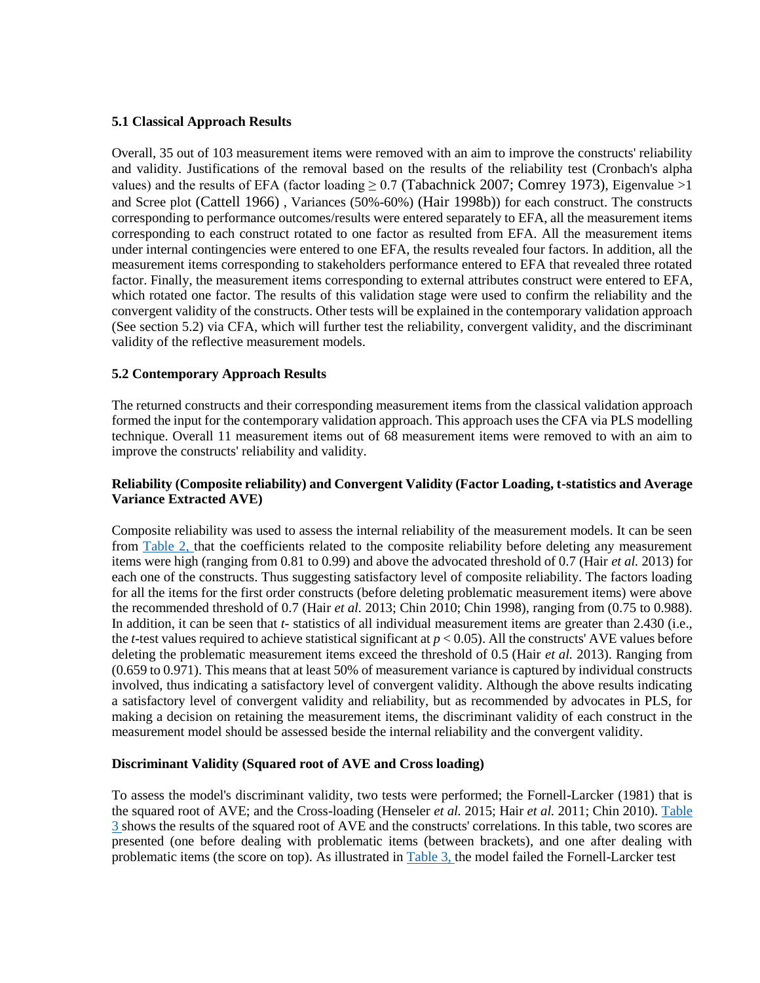## **5.1 Classical Approach Results**

Overall, 35 out of 103 measurement items were removed with an aim to improve the constructs' reliability and validity. Justifications of the removal based on the results of the reliability test (Cronbach's alpha values) and the results of EFA (factor loading  $\geq 0.7$  (Tabachnick 2007; Comrey 1973), Eigenvalue  $>1$ and Scree plot (Cattell 1966) , Variances (50%-60%) (Hair 1998b)) for each construct. The constructs corresponding to performance outcomes/results were entered separately to EFA, all the measurement items corresponding to each construct rotated to one factor as resulted from EFA. All the measurement items under internal contingencies were entered to one EFA, the results revealed four factors. In addition, all the measurement items corresponding to stakeholders performance entered to EFA that revealed three rotated factor. Finally, the measurement items corresponding to external attributes construct were entered to EFA, which rotated one factor. The results of this validation stage were used to confirm the reliability and the convergent validity of the constructs. Other tests will be explained in the contemporary validation approach (See section 5.2) via CFA, which will further test the reliability, convergent validity, and the discriminant validity of the reflective measurement models.

## **5.2 Contemporary Approach Results**

The returned constructs and their corresponding measurement items from the classical validation approach formed the input for the contemporary validation approach. This approach uses the CFA via PLS modelling technique. Overall 11 measurement items out of 68 measurement items were removed to with an aim to improve the constructs' reliability and validity.

## **Reliability (Composite reliability) and Convergent Validity (Factor Loading, t-statistics and Average Variance Extracted AVE)**

Composite reliability was used to assess the internal reliability of the measurement models. It can be seen from [Table 2, t](file:///F:/124.doc%23page5)hat the coefficients related to the composite reliability before deleting any measurement items were high (ranging from 0.81 to 0.99) and above the advocated threshold of 0.7 (Hair *et al.* 2013) for each one of the constructs. Thus suggesting satisfactory level of composite reliability. The factors loading for all the items for the first order constructs (before deleting problematic measurement items) were above the recommended threshold of 0.7 (Hair *et al.* 2013; Chin 2010; Chin 1998), ranging from (0.75 to 0.988). In addition, it can be seen that *t-* statistics of all individual measurement items are greater than 2.430 (i.e., the *t*-test values required to achieve statistical significant at  $p < 0.05$ ). All the constructs' AVE values before deleting the problematic measurement items exceed the threshold of 0.5 (Hair *et al.* 2013). Ranging from (0.659 to 0.971). This means that at least 50% of measurement variance is captured by individual constructs involved, thus indicating a satisfactory level of convergent validity. Although the above results indicating a satisfactory level of convergent validity and reliability, but as recommended by advocates in PLS, for making a decision on retaining the measurement items, the discriminant validity of each construct in the measurement model should be assessed beside the internal reliability and the convergent validity.

## **Discriminant Validity (Squared root of AVE and Cross loading)**

To assess the model's discriminant validity, two tests were performed; the Fornell-Larcker (1981) that is the squared root of AVE; and the Cross-loading (Henseler *et al.* 2015; Hair *et al.* 2011; Chin 2010). [Table](file:///F:/124.doc%23page9) [3 s](file:///F:/124.doc%23page9)hows the results of the squared root of AVE and the constructs' correlations. In this table, two scores are presented (one before dealing with problematic items (between brackets), and one after dealing with problematic items (the score on top). As illustrated in [Table 3, t](file:///F:/124.doc%23page9)he model failed the Fornell-Larcker test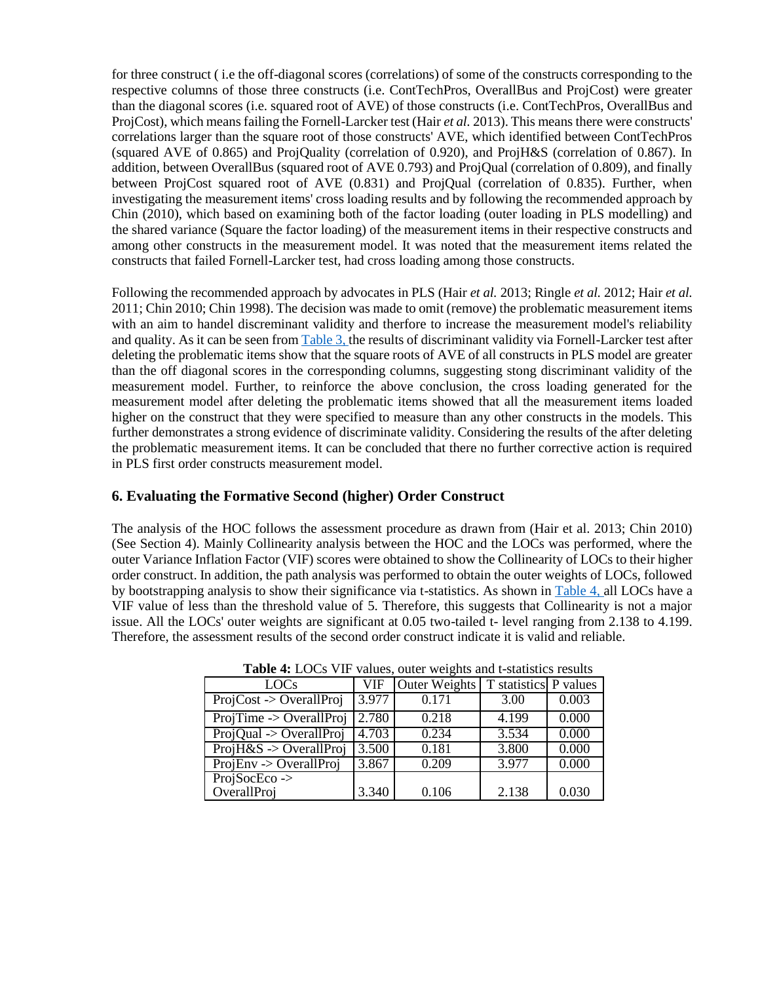for three construct ( i.e the off-diagonal scores (correlations) of some of the constructs corresponding to the respective columns of those three constructs (i.e. ContTechPros, OverallBus and ProjCost) were greater than the diagonal scores (i.e. squared root of AVE) of those constructs (i.e. ContTechPros, OverallBus and ProjCost), which means failing the Fornell-Larcker test (Hair *et al.* 2013). This means there were constructs' correlations larger than the square root of those constructs' AVE, which identified between ContTechPros (squared AVE of 0.865) and ProjQuality (correlation of 0.920), and ProjH&S (correlation of 0.867). In addition, between OverallBus (squared root of AVE 0.793) and ProjQual (correlation of 0.809), and finally between ProjCost squared root of AVE (0.831) and ProjQual (correlation of 0.835). Further, when investigating the measurement items' cross loading results and by following the recommended approach by Chin (2010), which based on examining both of the factor loading (outer loading in PLS modelling) and the shared variance (Square the factor loading) of the measurement items in their respective constructs and among other constructs in the measurement model. It was noted that the measurement items related the constructs that failed Fornell-Larcker test, had cross loading among those constructs.

Following the recommended approach by advocates in PLS (Hair *et al.* 2013; Ringle *et al.* 2012; Hair *et al.*  2011; Chin 2010; Chin 1998). The decision was made to omit (remove) the problematic measurement items with an aim to handel discreminant validity and therfore to increase the measurement model's reliability and quality. As it can be seen from [Table 3, t](file:///F:/124.doc%23page9)he results of discriminant validity via Fornell-Larcker test after deleting the problematic items show that the square roots of AVE of all constructs in PLS model are greater than the off diagonal scores in the corresponding columns, suggesting stong discriminant validity of the measurement model. Further, to reinforce the above conclusion, the cross loading generated for the measurement model after deleting the problematic items showed that all the measurement items loaded higher on the construct that they were specified to measure than any other constructs in the models. This further demonstrates a strong evidence of discriminate validity. Considering the results of the after deleting the problematic measurement items. It can be concluded that there no further corrective action is required in PLS first order constructs measurement model.

## **6. Evaluating the Formative Second (higher) Order Construct**

The analysis of the HOC follows the assessment procedure as drawn from (Hair et al. 2013; Chin 2010) (See Section 4). Mainly Collinearity analysis between the HOC and the LOCs was performed, where the outer Variance Inflation Factor (VIF) scores were obtained to show the Collinearity of LOCs to their higher order construct. In addition, the path analysis was performed to obtain the outer weights of LOCs, followed by bootstrapping analysis to show their significance via t-statistics. As shown in [Table 4,](file:///F:/124.doc%23page11) all LOCs have a VIF value of less than the threshold value of 5. Therefore, this suggests that Collinearity is not a major issue. All the LOCs' outer weights are significant at 0.05 two-tailed t- level ranging from 2.138 to 4.199. Therefore, the assessment results of the second order construct indicate it is valid and reliable.

| LOCs                                 | <b>VIF</b> | Outer Weights | T statistics P values |       |
|--------------------------------------|------------|---------------|-----------------------|-------|
| $ProjCost \rightarrow OverallProj$   | 3.977      | 0.171         | 3.00                  | 0.003 |
| $ProjTime \rightarrow OverallProj$   | 2.780      | 0.218         | 4.199                 | 0.000 |
| $\overline{ProjQual}$ -> OverallProj | 4.703      | 0.234         | 3.534                 | 0.000 |
| $\overline{ProjH}$ &S -> OverallProj | 3.500      | 0.181         | 3.800                 | 0.000 |
| $ProjEnv \rightarrow OverallProj$    | 3.867      | 0.209         | 3.977                 | 0.000 |
| $ProjSocEco \rightarrow$             |            |               |                       |       |
| OverallProj                          | 3.340      | 0.106         | 2.138                 | 0.030 |

**Table 4:** LOCs VIF values, outer weights and t-statistics results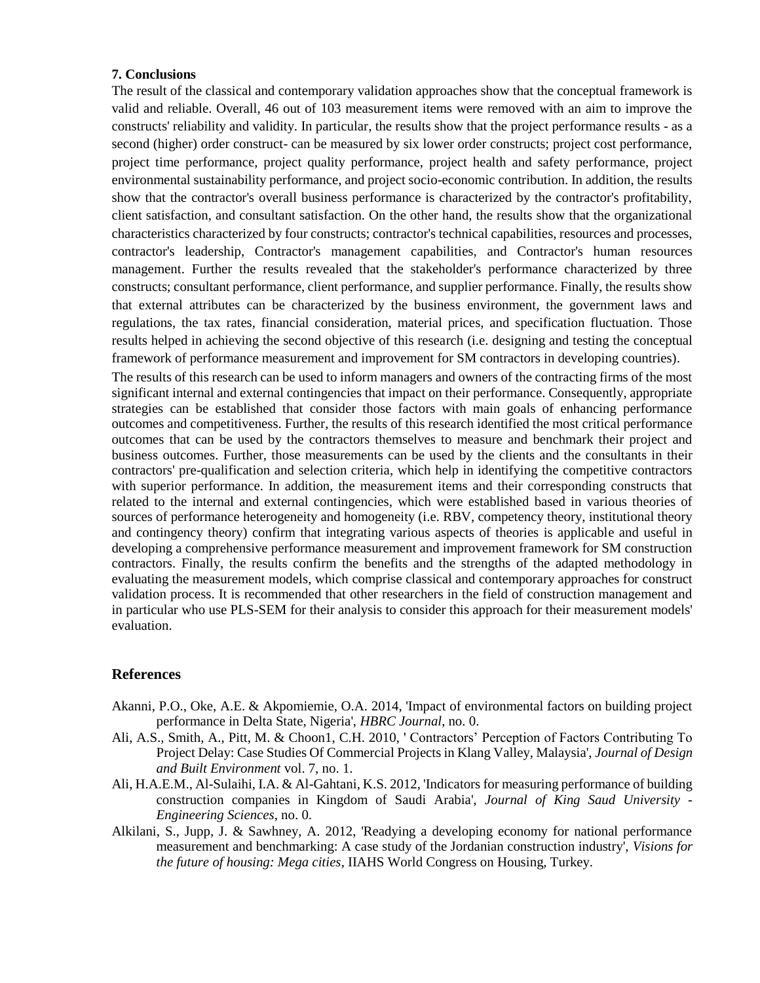## **7. Conclusions**

The result of the classical and contemporary validation approaches show that the conceptual framework is valid and reliable. Overall, 46 out of 103 measurement items were removed with an aim to improve the constructs' reliability and validity. In particular, the results show that the project performance results - as a second (higher) order construct- can be measured by six lower order constructs; project cost performance, project time performance, project quality performance, project health and safety performance, project environmental sustainability performance, and project socio-economic contribution. In addition, the results show that the contractor's overall business performance is characterized by the contractor's profitability, client satisfaction, and consultant satisfaction. On the other hand, the results show that the organizational characteristics characterized by four constructs; contractor's technical capabilities, resources and processes, contractor's leadership, Contractor's management capabilities, and Contractor's human resources management. Further the results revealed that the stakeholder's performance characterized by three constructs; consultant performance, client performance, and supplier performance. Finally, the results show that external attributes can be characterized by the business environment, the government laws and regulations, the tax rates, financial consideration, material prices, and specification fluctuation. Those results helped in achieving the second objective of this research (i.e. designing and testing the conceptual framework of performance measurement and improvement for SM contractors in developing countries).

The results of this research can be used to inform managers and owners of the contracting firms of the most significant internal and external contingencies that impact on their performance. Consequently, appropriate strategies can be established that consider those factors with main goals of enhancing performance outcomes and competitiveness. Further, the results of this research identified the most critical performance outcomes that can be used by the contractors themselves to measure and benchmark their project and business outcomes. Further, those measurements can be used by the clients and the consultants in their contractors' pre-qualification and selection criteria, which help in identifying the competitive contractors with superior performance. In addition, the measurement items and their corresponding constructs that related to the internal and external contingencies, which were established based in various theories of sources of performance heterogeneity and homogeneity (i.e. RBV, competency theory, institutional theory and contingency theory) confirm that integrating various aspects of theories is applicable and useful in developing a comprehensive performance measurement and improvement framework for SM construction contractors. Finally, the results confirm the benefits and the strengths of the adapted methodology in evaluating the measurement models, which comprise classical and contemporary approaches for construct validation process. It is recommended that other researchers in the field of construction management and in particular who use PLS-SEM for their analysis to consider this approach for their measurement models' evaluation.

## **References**

- Akanni, P.O., Oke, A.E. & Akpomiemie, O.A. 2014, 'Impact of environmental factors on building project performance in Delta State, Nigeria', *HBRC Journal*, no. 0.
- Ali, A.S., Smith, A., Pitt, M. & Choon1, C.H. 2010, ' Contractors' Perception of Factors Contributing To Project Delay: Case Studies Of Commercial Projects in Klang Valley, Malaysia', *Journal of Design and Built Environment* vol. 7, no. 1.
- Ali, H.A.E.M., Al-Sulaihi, I.A. & Al-Gahtani, K.S. 2012, 'Indicators for measuring performance of building construction companies in Kingdom of Saudi Arabia', *Journal of King Saud University - Engineering Sciences*, no. 0.
- Alkilani, S., Jupp, J. & Sawhney, A. 2012, 'Readying a developing economy for national performance measurement and benchmarking: A case study of the Jordanian construction industry', *Visions for the future of housing: Mega cities*, IIAHS World Congress on Housing, Turkey.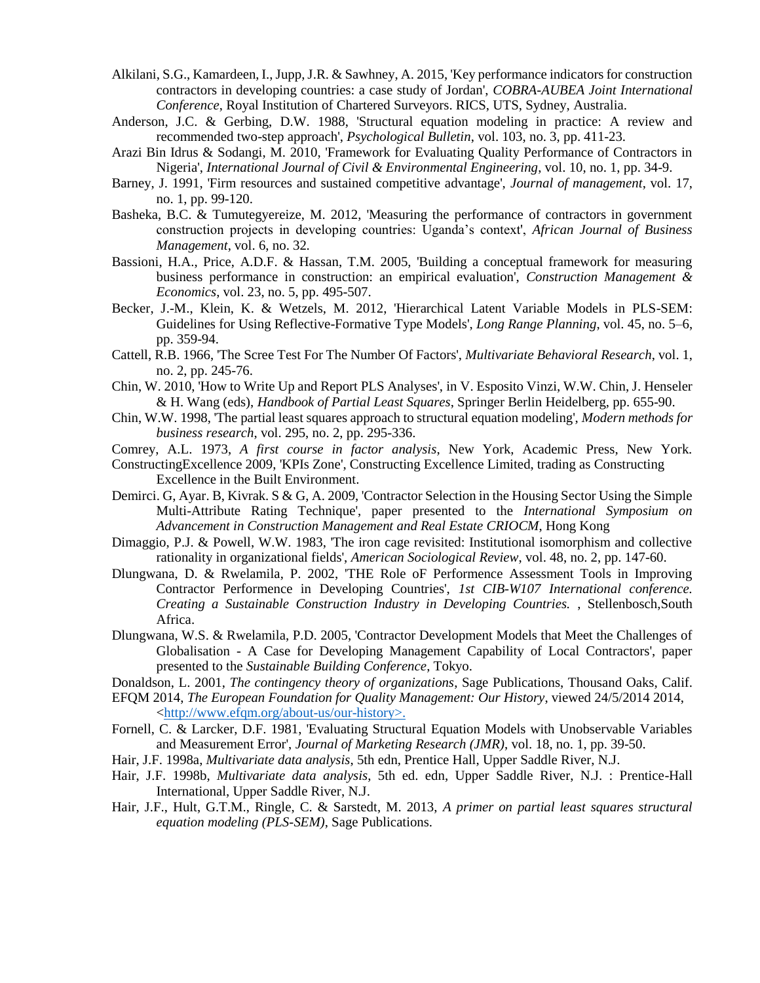- Alkilani, S.G., Kamardeen, I., Jupp, J.R. & Sawhney, A. 2015, 'Key performance indicators for construction contractors in developing countries: a case study of Jordan', *COBRA-AUBEA Joint International Conference*, Royal Institution of Chartered Surveyors. RICS, UTS, Sydney, Australia.
- Anderson, J.C. & Gerbing, D.W. 1988, 'Structural equation modeling in practice: A review and recommended two-step approach', *Psychological Bulletin*, vol. 103, no. 3, pp. 411-23.
- Arazi Bin Idrus & Sodangi, M. 2010, 'Framework for Evaluating Quality Performance of Contractors in Nigeria', *International Journal of Civil & Environmental Engineering*, vol. 10, no. 1, pp. 34-9.
- Barney, J. 1991, 'Firm resources and sustained competitive advantage', *Journal of management*, vol. 17, no. 1, pp. 99-120.
- Basheka, B.C. & Tumutegyereize, M. 2012, 'Measuring the performance of contractors in government construction projects in developing countries: Uganda's context', *African Journal of Business Management*, vol. 6, no. 32.
- Bassioni, H.A., Price, A.D.F. & Hassan, T.M. 2005, 'Building a conceptual framework for measuring business performance in construction: an empirical evaluation', *Construction Management & Economics*, vol. 23, no. 5, pp. 495-507.
- Becker, J.-M., Klein, K. & Wetzels, M. 2012, 'Hierarchical Latent Variable Models in PLS-SEM: Guidelines for Using Reflective-Formative Type Models', *Long Range Planning*, vol. 45, no. 5–6, pp. 359-94.
- Cattell, R.B. 1966, 'The Scree Test For The Number Of Factors', *Multivariate Behavioral Research*, vol. 1, no. 2, pp. 245-76.
- Chin, W. 2010, 'How to Write Up and Report PLS Analyses', in V. Esposito Vinzi, W.W. Chin, J. Henseler & H. Wang (eds), *Handbook of Partial Least Squares*, Springer Berlin Heidelberg, pp. 655-90.
- Chin, W.W. 1998, 'The partial least squares approach to structural equation modeling', *Modern methods for business research*, vol. 295, no. 2, pp. 295-336.
- Comrey, A.L. 1973, *A first course in factor analysis*, New York, Academic Press, New York.

ConstructingExcellence 2009, 'KPIs Zone', Constructing Excellence Limited, trading as Constructing Excellence in the Built Environment.

- Demirci. G, Ayar. B, Kivrak. S & G, A. 2009, 'Contractor Selection in the Housing Sector Using the Simple Multi-Attribute Rating Technique', paper presented to the *International Symposium on Advancement in Construction Management and Real Estate CRIOCM*, Hong Kong
- Dimaggio, P.J. & Powell, W.W. 1983, 'The iron cage revisited: Institutional isomorphism and collective rationality in organizational fields', *American Sociological Review*, vol. 48, no. 2, pp. 147-60.
- Dlungwana, D. & Rwelamila, P. 2002, 'THE Role oF Performence Assessment Tools in Improving Contractor Performence in Developing Countries', *1st CIB-W107 International conference. Creating a Sustainable Construction Industry in Developing Countries.* , Stellenbosch,South Africa.
- Dlungwana, W.S. & Rwelamila, P.D. 2005, 'Contractor Development Models that Meet the Challenges of Globalisation - A Case for Developing Management Capability of Local Contractors', paper presented to the *Sustainable Building Conference*, Tokyo.

Donaldson, L. 2001, *The contingency theory of organizations*, Sage Publications, Thousand Oaks, Calif.

- EFQM 2014, *The European Foundation for Quality Management: Our History*, viewed 24/5/2014 2014, [<http://www.efqm.org/about-us/our-history>.](http://www.efqm.org/about-us/our-history%3e)
- Fornell, C. & Larcker, D.F. 1981, 'Evaluating Structural Equation Models with Unobservable Variables and Measurement Error', *Journal of Marketing Research (JMR)*, vol. 18, no. 1, pp. 39-50.
- Hair, J.F. 1998a, *Multivariate data analysis*, 5th edn, Prentice Hall, Upper Saddle River, N.J.
- Hair, J.F. 1998b, *Multivariate data analysis*, 5th ed. edn, Upper Saddle River, N.J. : Prentice-Hall International, Upper Saddle River, N.J.
- Hair, J.F., Hult, G.T.M., Ringle, C. & Sarstedt, M. 2013, *A primer on partial least squares structural equation modeling (PLS-SEM)*, Sage Publications.